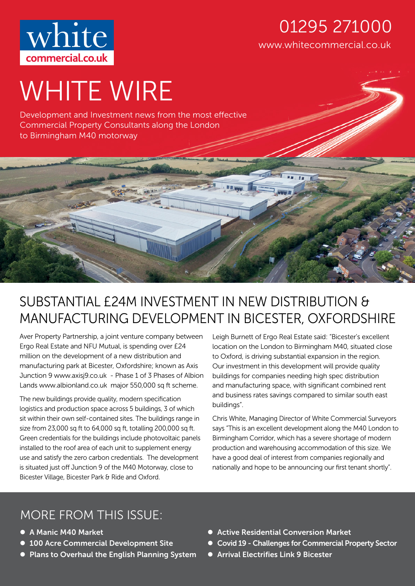

### www.whitecommercial.co.uk 01295 271000

# WHITE WIRE

Development and Investment news from the most effective Commercial Property Consultants along the London to Birmingham M40 motorway

# SUBSTANTIAL £24M INVESTMENT IN NEW DISTRIBUTION & MANUFACTURING DEVELOPMENT IN BICESTER, OXFORDSHIRE

ī

Aver Property Partnership, a joint venture company between Ergo Real Estate and NFU Mutual, is spending over £24 million on the development of a new distribution and manufacturing park at Bicester, Oxfordshire; known as Axis Junction 9 www.axisj9.co.uk - Phase 1 of 3 Phases of Albion Lands www.albionland.co.uk major 550,000 sq ft scheme.

The new buildings provide quality, modern specification logistics and production space across 5 buildings, 3 of which sit within their own self-contained sites. The buildings range in size from 23,000 sq ft to 64,000 sq ft, totalling 200,000 sq ft. Green credentials for the buildings include photovoltaic panels installed to the roof area of each unit to supplement energy use and satisfy the zero carbon credentials. The development is situated just off Junction 9 of the M40 Motorway, close to Bicester Village, Bicester Park & Ride and Oxford.

Leigh Burnett of Ergo Real Estate said: "Bicester's excellent location on the London to Birmingham M40, situated close to Oxford, is driving substantial expansion in the region. Our investment in this development will provide quality buildings for companies needing high spec distribution and manufacturing space, with significant combined rent and business rates savings compared to similar south east buildings".

**FR. TH** 

Chris White, Managing Director of White Commercial Surveyors says "This is an excellent development along the M40 London to Birmingham Corridor, which has a severe shortage of modern production and warehousing accommodation of this size. We have a good deal of interest from companies regionally and nationally and hope to be announcing our first tenant shortly".

# MORE FROM THIS ISSUE:

- A Manic M40 Market
- **100 Acre Commercial Development Site**
- Plans to Overhaul the English Planning System
- Active Residential Conversion Market
- Covid 19 Challenges for Commercial Property Sector
- **Arrival Electrifies Link 9 Bicester**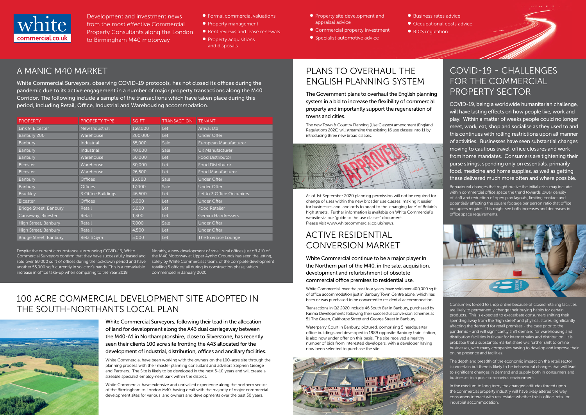

Development and investment news from the most effective Commercial Property Consultants along the London to Birmingham M40 motorway

- Formal commercial valuations
- **•** Property management
- Rent reviews and lease renewals
- Property acquisitions and disposals
- **•** Property site development and appraisal advice
- Commercial property investment
- **•** Specialist automotive advice

● Business rates advice ● Occupational costs advice • RICS regulation

- 
- 
- 

# PLANS TO OVERHAUL THE ENGLISH PLANNING SYSTEM

### A MANIC M40 MARKET

The new Town & Country Planning (Use Classes) amendment (England Regulations 2020) will streamline the existing 16 use classes into 11 by introducing three new broad classes.



White Commercial Surveyors, observing COVID-19 protocols, has not closed its offices during the pandemic due to its active engagement in a number of major property transactions along the M40 Corridor. The following include a sample of the transactions which have taken place during this period, including Retail, Office, Industrial and Warehousing accommodation.

The Government plans to overhaul the English planning system in a bid to increase the flexibility of commercial property and importantly support the regeneration of towns and cities.

As of 1st September 2020 planning permission will not be required for change of uses within the new broader use classes, making it easier for businesses and landlords to adapt to the 'changing face' of Britain's high streets. Further information is available on White Commercial's website via our 'guide to the use classes' document. Please visit www.whitecommercial.co.uk/news.

Despite the current circumstance surrounding COVID-19, White Commercial Surveyors confirm that they have successfully leased and the M40 Motorway at Upper Aynho Grounds has seen the letting, sold over 60,000 sq ft of offices during the lockdown period and have solely by White Commercial's team, of the complete development another 55,000 sq ft currently in solicitor's hands. This is a remarkable totalling 5 offices; all during its construction phase, which increase in office take-up when comparing to the Year 2019.

| <b>PROPERTY</b>        | <b>PROPERTY TYPE</b> | SQ FT   | <b>TRANSACTION</b> | <b>TENANT</b>             |
|------------------------|----------------------|---------|--------------------|---------------------------|
| Link 9, Bicester       | New Industrial       | 168,000 | Let                | <b>Arrival Ltd</b>        |
| Banbury 200            | Warehouse            | 200,000 | Let                | <b>Under Offer</b>        |
| <b>Banbury</b>         | <b>Industrial</b>    | 55,000  | Sale               | European Manufacturer     |
| Banbury                | Industrial           | 40,000  | Sale               | <b>UK Manufacturer</b>    |
| <b>Banbury</b>         | Warehouse            | 30,000  | Let                | <b>Food Distributor</b>   |
| <b>Bicester</b>        | Warehouse            | 30,000  | Let                | <b>Food Distributor</b>   |
| <b>Bicester</b>        | Warehouse            | 26,500  | Let                | Food Manufacturer         |
| Banbury                | <b>Offices</b>       | 15,000  | <b>Sale</b>        | Under Offer               |
| Banbury                | <b>Offices</b>       | 17,000  | Sale               | <b>Under Offer</b>        |
| <b>Brackley</b>        | 3 Office Buildings   | 46,500  | Let                | Let to 3 Office Occupiers |
| <b>Bicester</b>        | <b>Offices</b>       | 5,000   | Let                | Under Offer               |
| Bridge Street, Banbury | <b>Retail</b>        | 5,000   | Let                | <b>Food Retailer</b>      |
| Causeway, Bicester     | <b>Retail</b>        | 1,300   | Let                | Gemini Hairdressers       |
| High Street, Banbury   | <b>Retail</b>        | 7,000   | Sale               | Under Offer               |
| High Street, Banbury   | <b>Retail</b>        | 4,500   | Let                | Under Offer               |
| Bridge Street, Banbury | Retail/Gym           | 5,000   | Let                | The Exercise Lounge       |

### 100 ACRE COMMERCIAL DEVELOPMENT SITE ADOPTED IN THE SOUTH-NORTHANTS LOCAL PLAN



White Commercial Surveyors, following their lead in the allocation of land for development along the A43 dual carriageway between the M40-A1 in Northamptonshire, close to Silverstone, has recently seen their clients 100 acre site fronting the A43 allocated for the development of industrial, distribution, offices and ancillary facilities.

White Commercial, over the past four years, have sold over 400,000 sq ft of office accommodation just in Banbury Town Centre alone, which has been or was purchased to be converted to residential accommodation.

White Commercial have been working with the owners on the 100-acre site through the planning process with their master planning consultant and advisors Stephen George and Partners. The Site is likely to be developed in the next 5-10 years and will create a sizeable specialist employment park within the district.

White Commercial have extensive and unrivalled experience along the northern sector of the Birmingham to London M40, having dealt with the majority of major commercial development sites for various land owners and developments over the past 30 years.

### COVID-19 - CHALLENGES FOR THE COMMERCIAL PROPERTY SECTOR

COVID-19, being a worldwide humanitarian challenge, will have lasting effects on how people live, work and play. Within a matter of weeks people could no longer meet, work, eat, shop and socialise as they used to and this continues with rolling restrictions upon all manner of activities. Businesses have seen substantial changes moving to cautious travel, office closures and work from home mandates. Consumers are tightening their purse strings, spending only on essentials, primarily food, medicine and home supplies, as well as getting these delivered much more often and where possible.

Behavioural changes that might outlive the initial crisis may include within commercial office space the trend towards lower density of staff and reduction of open plan layouts, limiting contact and potentially effecting the square footage per person ratio that office occupiers require. This might see both increases and decreases in office space requirements.



Consumers forced to shop online because of closed retailing facilities are likely to permanently change their buying habits for certain products. This is expected to exacerbate consumers shifting their spending away from the 'high street' and physical stores, significantly affecting the demand for retail premises - the case prior to the pandemic - and will significantly shift demand for warehousing and distribution facilities in favour for internet sales and distribution. It is probable that a substantial market share will further shift to online businesses, with many companies having to develop and improve their online presence and facilities.

The depth and breadth of the economic impact on the retail sector is uncertain but there is likely to be behavioural changes that will lead to significant changes in demand and supply both in consumers and businesses in a post-coronavirus environment.

In the medium to long term, the changed attitudes forced upon the commercial property industry will have likely altered the way consumers interact with real estate; whether this is office, retail or industrial accommodation.

### ACTIVE RESIDENTIAL CONVERSION MARKET

White Commercial continue to be a major player in the Northern part of the M40, in the sale, acquisition, development and refurbishment of obsolete commercial office premises to residential use.

Transactions in Q2 2020 include 46 South Bar in Banbury, purchased by Farima Developments following their successful conversion schemes at 51 The Green, Calthorpe Street and George Street in Banbury.

Waterperry Court in Banbury, pictured, comprising 5 headquarter office buildings and developed in 1989 opposite Banbury train station, is also now under offer on this basis. The site received a healthy number of bids from interested developers, with a developer having now been selected to purchase the site.



Notably, a new development of small rural offices just off J10 of commenced in January 2020.